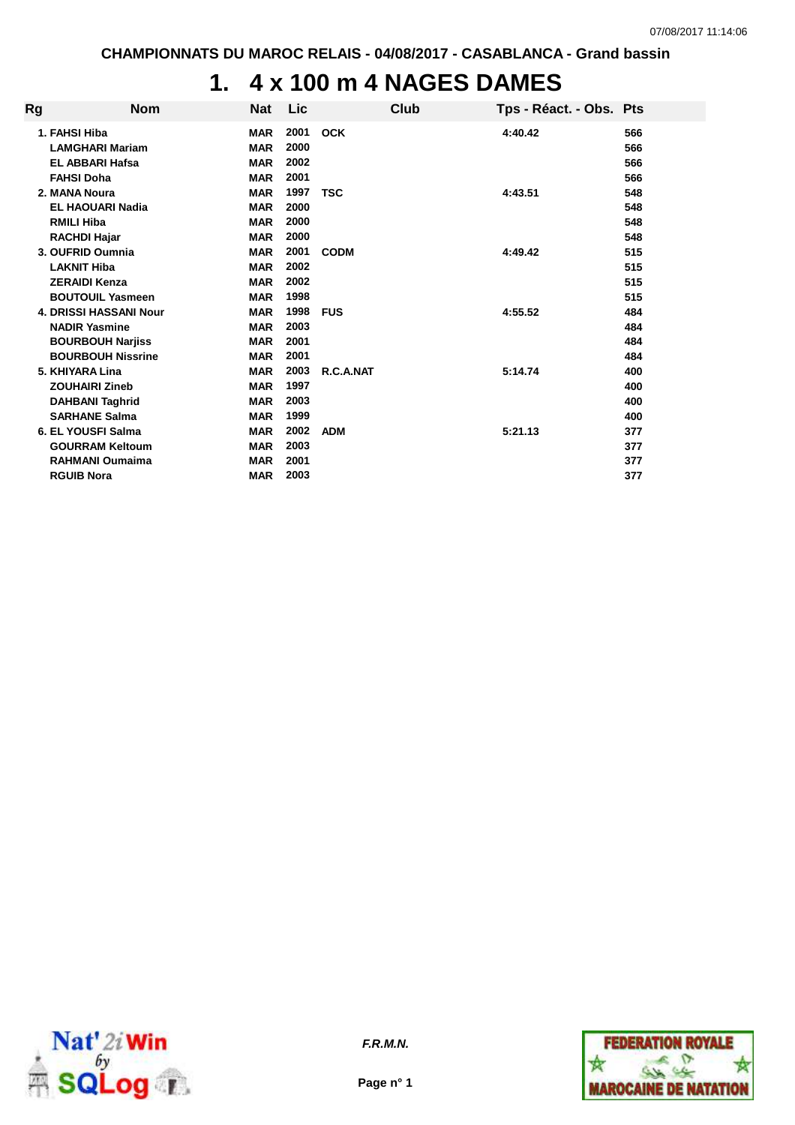# **1. 4 x 100 m 4 NAGES DAMES**

| Rg | <b>Nom</b>                                                        | <b>Nat</b>                             | Lic                  | Club        | Tps - Réact. - Obs. Pts |            |
|----|-------------------------------------------------------------------|----------------------------------------|----------------------|-------------|-------------------------|------------|
|    | 1. FAHSI Hiba<br><b>LAMGHARI Mariam</b><br><b>EL ABBARI Hafsa</b> | <b>MAR</b><br><b>MAR</b><br><b>MAR</b> | 2001<br>2000<br>2002 | <b>OCK</b>  | 4:40.42                 | 566<br>566 |
|    | <b>FAHSI Doha</b>                                                 | <b>MAR</b>                             | 2001                 |             |                         | 566<br>566 |
|    | 2. MANA Noura                                                     | <b>MAR</b>                             | 1997                 | <b>TSC</b>  | 4:43.51                 | 548        |
|    | <b>EL HAOUARI Nadia</b>                                           | <b>MAR</b>                             | 2000                 |             |                         | 548        |
|    | <b>RMILI Hiba</b><br><b>RACHDI Hajar</b>                          | <b>MAR</b><br><b>MAR</b>               | 2000<br>2000         |             |                         | 548<br>548 |
|    | 3. OUFRID Oumnia                                                  | <b>MAR</b>                             | 2001                 | <b>CODM</b> | 4:49.42                 | 515        |
|    | <b>LAKNIT Hiba</b>                                                | <b>MAR</b>                             | 2002                 |             |                         | 515        |
|    | <b>ZERAIDI Kenza</b>                                              | <b>MAR</b>                             | 2002                 |             |                         | 515        |
|    | <b>BOUTOUIL Yasmeen</b>                                           | <b>MAR</b>                             | 1998                 |             |                         | 515        |
|    | <b>4. DRISSI HASSANI Nour</b>                                     | <b>MAR</b>                             | 1998                 | <b>FUS</b>  | 4:55.52                 | 484        |
|    | <b>NADIR Yasmine</b>                                              | <b>MAR</b>                             | 2003                 |             |                         | 484        |
|    | <b>BOURBOUH Narjiss</b>                                           | <b>MAR</b>                             | 2001                 |             |                         | 484        |
|    | <b>BOURBOUH Nissrine</b>                                          | <b>MAR</b>                             | 2001                 |             |                         | 484        |
|    | 5. KHIYARA Lina                                                   | <b>MAR</b>                             | 2003                 | R.C.A.NAT   | 5:14.74                 | 400        |
|    | <b>ZOUHAIRI Zineb</b>                                             | <b>MAR</b>                             | 1997                 |             |                         | 400        |
|    | <b>DAHBANI Taghrid</b>                                            | <b>MAR</b>                             | 2003                 |             |                         | 400        |
|    | <b>SARHANE Salma</b>                                              | <b>MAR</b>                             | 1999                 |             |                         | 400        |
|    | 6. EL YOUSFI Salma                                                | <b>MAR</b>                             | 2002                 | <b>ADM</b>  | 5:21.13                 | 377        |
|    | <b>GOURRAM Keltoum</b>                                            | <b>MAR</b>                             | 2003                 |             |                         | 377        |
|    | <b>RAHMANI Oumaima</b>                                            | <b>MAR</b>                             | 2001                 |             |                         | 377        |
|    | <b>RGUIB Nora</b>                                                 | <b>MAR</b>                             | 2003                 |             |                         | 377        |



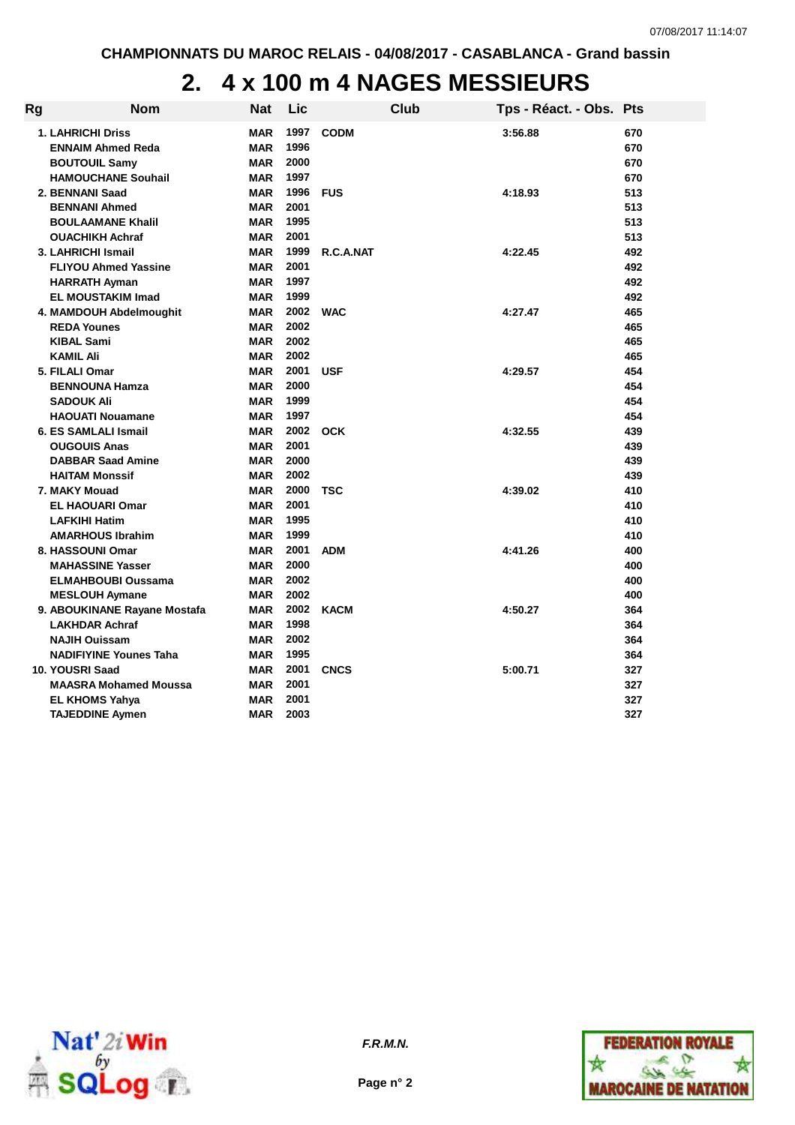### **2. 4 x 100 m 4 NAGES MESSIEURS**

| Rg | Nom                                                                                                            | <b>Nat</b>                                           | Lic                              | Club        | Tps - Réact. - Obs. Pts |                          |
|----|----------------------------------------------------------------------------------------------------------------|------------------------------------------------------|----------------------------------|-------------|-------------------------|--------------------------|
|    | <b>1. LAHRICHI Driss</b><br><b>ENNAIM Ahmed Reda</b><br><b>BOUTOUIL Samy</b><br><b>HAMOUCHANE Souhail</b>      | <b>MAR</b><br><b>MAR</b><br>MAR<br><b>MAR</b>        | 1997<br>1996<br>2000<br>1997     | <b>CODM</b> | 3:56.88                 | 670<br>670<br>670<br>670 |
|    | 2. BENNANI Saad<br><b>BENNANI Ahmed</b><br><b>BOULAAMANE Khalil</b><br><b>OUACHIKH Achraf</b>                  | <b>MAR</b><br><b>MAR</b><br><b>MAR</b><br><b>MAR</b> | 1996<br>2001<br>1995<br>2001     | <b>FUS</b>  | 4:18.93                 | 513<br>513<br>513<br>513 |
|    | 3. LAHRICHI Ismail<br><b>FLIYOU Ahmed Yassine</b><br><b>HARRATH Ayman</b><br><b>EL MOUSTAKIM Imad</b>          | <b>MAR</b><br>MAR<br><b>MAR</b><br><b>MAR</b>        | 1999<br>2001<br>1997<br>1999     | R.C.A.NAT   | 4:22.45                 | 492<br>492<br>492<br>492 |
|    | 4. MAMDOUH Abdelmoughit<br><b>REDA Younes</b><br><b>KIBAL Sami</b><br><b>KAMIL Ali</b>                         | <b>MAR</b><br><b>MAR</b><br><b>MAR</b><br><b>MAR</b> | 2002 WAC<br>2002<br>2002<br>2002 |             | 4:27.47                 | 465<br>465<br>465<br>465 |
|    | 5. FILALI Omar<br><b>BENNOUNA Hamza</b><br><b>SADOUK Ali</b><br><b>HAOUATI Nouamane</b>                        | MAR<br><b>MAR</b><br><b>MAR</b><br><b>MAR</b>        | 2001<br>2000<br>1999<br>1997     | <b>USF</b>  | 4:29.57                 | 454<br>454<br>454<br>454 |
|    | 6. ES SAMLALI Ismail<br><b>OUGOUIS Anas</b><br><b>DABBAR Saad Amine</b><br><b>HAITAM Monssif</b>               | <b>MAR</b><br><b>MAR</b><br><b>MAR</b><br><b>MAR</b> | 2002<br>2001<br>2000<br>2002     | <b>OCK</b>  | 4:32.55                 | 439<br>439<br>439<br>439 |
|    | 7. MAKY Mouad<br><b>EL HAOUARI Omar</b><br><b>LAFKIHI Hatim</b><br><b>AMARHOUS Ibrahim</b>                     | MAR<br>MAR<br><b>MAR</b><br><b>MAR</b>               | 2000<br>2001<br>1995<br>1999     | <b>TSC</b>  | 4:39.02                 | 410<br>410<br>410<br>410 |
|    | 8. HASSOUNI Omar<br><b>MAHASSINE Yasser</b><br><b>ELMAHBOUBI Oussama</b><br><b>MESLOUH Aymane</b>              | <b>MAR</b><br><b>MAR</b><br><b>MAR</b><br><b>MAR</b> | 2001<br>2000<br>2002<br>2002     | <b>ADM</b>  | 4:41.26                 | 400<br>400<br>400<br>400 |
|    | 9. ABOUKINANE Rayane Mostafa<br><b>LAKHDAR Achraf</b><br><b>NAJIH Ouissam</b><br><b>NADIFIYINE Younes Taha</b> | <b>MAR</b><br><b>MAR</b><br>MAR<br>MAR               | 2002<br>1998<br>2002<br>1995     | <b>KACM</b> | 4:50.27                 | 364<br>364<br>364<br>364 |
|    | 10. YOUSRI Saad<br><b>MAASRA Mohamed Moussa</b><br><b>EL KHOMS Yahya</b><br><b>TAJEDDINE Aymen</b>             | MAR<br><b>MAR</b><br><b>MAR</b><br><b>MAR</b>        | 2001<br>2001<br>2001<br>2003     | <b>CNCS</b> | 5:00.71                 | 327<br>327<br>327<br>327 |



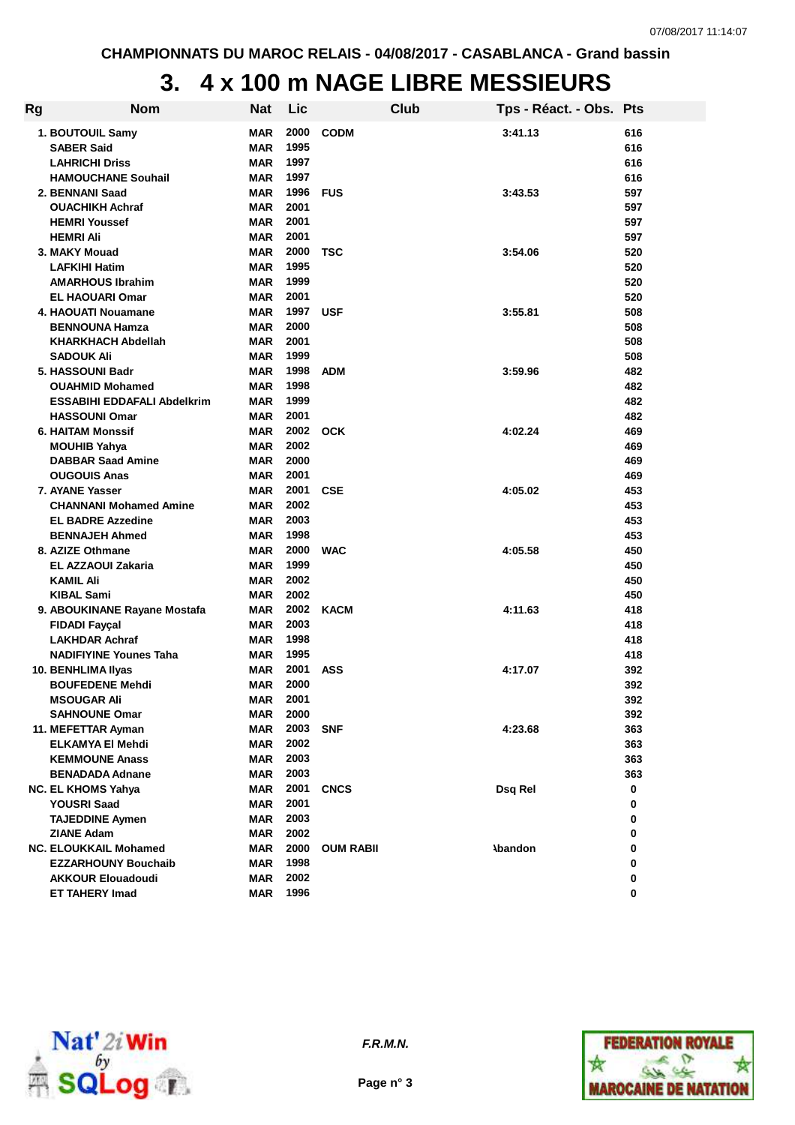# **3. 4 x 100 m NAGE LIBRE MESSIEURS**

| Rg | <b>Nom</b>                         | <b>Nat</b> | Lic      | <b>Club</b>      | Tps - Réact. - Obs. Pts |     |
|----|------------------------------------|------------|----------|------------------|-------------------------|-----|
|    | 1. BOUTOUIL Samy                   | <b>MAR</b> | 2000     | <b>CODM</b>      | 3:41.13                 | 616 |
|    | <b>SABER Said</b>                  | <b>MAR</b> | 1995     |                  |                         | 616 |
|    | <b>LAHRICHI Driss</b>              | <b>MAR</b> | 1997     |                  |                         | 616 |
|    | <b>HAMOUCHANE Souhail</b>          | <b>MAR</b> | 1997     |                  |                         | 616 |
|    | 2. BENNANI Saad                    | <b>MAR</b> | 1996     | <b>FUS</b>       | 3:43.53                 | 597 |
|    | <b>OUACHIKH Achraf</b>             | <b>MAR</b> | 2001     |                  |                         | 597 |
|    | <b>HEMRI Youssef</b>               | <b>MAR</b> | 2001     |                  |                         | 597 |
|    | <b>HEMRI Ali</b>                   | <b>MAR</b> | 2001     |                  |                         | 597 |
|    | 3. MAKY Mouad                      | <b>MAR</b> | 2000     | TSC              | 3:54.06                 | 520 |
|    | <b>LAFKIHI Hatim</b>               | <b>MAR</b> | 1995     |                  |                         | 520 |
|    | <b>AMARHOUS Ibrahim</b>            | <b>MAR</b> | 1999     |                  |                         | 520 |
|    | <b>EL HAOUARI Omar</b>             | <b>MAR</b> | 2001     |                  |                         | 520 |
|    | 4. HAOUATI Nouamane                | <b>MAR</b> | 1997     | <b>USF</b>       | 3:55.81                 | 508 |
|    | <b>BENNOUNA Hamza</b>              | <b>MAR</b> | 2000     |                  |                         | 508 |
|    | <b>KHARKHACH Abdellah</b>          | <b>MAR</b> | 2001     |                  |                         | 508 |
|    | <b>SADOUK Ali</b>                  | <b>MAR</b> | 1999     |                  |                         | 508 |
|    | 5. HASSOUNI Badr                   | <b>MAR</b> | 1998     | <b>ADM</b>       | 3:59.96                 | 482 |
|    | <b>OUAHMID Mohamed</b>             | <b>MAR</b> | 1998     |                  |                         | 482 |
|    | <b>ESSABIHI EDDAFALI Abdelkrim</b> | <b>MAR</b> | 1999     |                  |                         | 482 |
|    | <b>HASSOUNI Omar</b>               | <b>MAR</b> | 2001     |                  |                         | 482 |
|    | <b>6. HAITAM Monssif</b>           | MAR        | 2002 OCK |                  | 4:02.24                 | 469 |
|    | <b>MOUHIB Yahya</b>                | MAR        | 2002     |                  |                         | 469 |
|    | <b>DABBAR Saad Amine</b>           | <b>MAR</b> | 2000     |                  |                         | 469 |
|    | <b>OUGOUIS Anas</b>                | <b>MAR</b> | 2001     |                  |                         | 469 |
|    | 7. AYANE Yasser                    | <b>MAR</b> | 2001     | <b>CSE</b>       | 4:05.02                 | 453 |
|    | <b>CHANNANI Mohamed Amine</b>      | <b>MAR</b> | 2002     |                  |                         | 453 |
|    | <b>EL BADRE Azzedine</b>           | <b>MAR</b> | 2003     |                  |                         | 453 |
|    | <b>BENNAJEH Ahmed</b>              | <b>MAR</b> | 1998     |                  |                         | 453 |
|    | 8. AZIZE Othmane                   | MAR        | 2000     | <b>WAC</b>       | 4:05.58                 | 450 |
|    | EL AZZAOUI Zakaria                 | <b>MAR</b> | 1999     |                  |                         | 450 |
|    | <b>KAMIL Ali</b>                   | <b>MAR</b> | 2002     |                  |                         | 450 |
|    | KIBAL Sami                         | <b>MAR</b> | 2002     |                  |                         | 450 |
|    | 9. ABOUKINANE Rayane Mostafa       | <b>MAR</b> | 2002     | <b>KACM</b>      | 4:11.63                 | 418 |
|    | <b>FIDADI Fayçal</b>               | <b>MAR</b> | 2003     |                  |                         | 418 |
|    | <b>LAKHDAR Achraf</b>              | <b>MAR</b> | 1998     |                  |                         | 418 |
|    | <b>NADIFIYINE Younes Taha</b>      | <b>MAR</b> | 1995     |                  |                         | 418 |
|    | 10. BENHLIMA IIyas                 | MAR        | 2001     | <b>ASS</b>       | 4:17.07                 | 392 |
|    | <b>BOUFEDENE Mehdi</b>             | <b>MAR</b> | 2000     |                  |                         | 392 |
|    | <b>MSOUGAR Ali</b>                 | MAR        | 2001     |                  |                         | 392 |
|    | <b>SAHNOUNE Omar</b>               | MAR        | 2000     |                  |                         | 392 |
|    | 11. MEFETTAR Ayman                 | MAR        | 2003     | <b>SNF</b>       | 4:23.68                 | 363 |
|    | <b>ELKAMYA EI Mehdi</b>            | MAR        | 2002     |                  |                         | 363 |
|    | <b>KEMMOUNE Anass</b>              | MAR        | 2003     |                  |                         | 363 |
|    | <b>BENADADA Adnane</b>             | MAR        | 2003     |                  |                         | 363 |
|    | <b>NC. EL KHOMS Yahya</b>          | MAR        | 2001     | <b>CNCS</b>      | Dsq Rel                 | 0   |
|    | <b>YOUSRI Saad</b>                 | MAR        | 2001     |                  |                         | 0   |
|    | <b>TAJEDDINE Aymen</b>             | MAR        | 2003     |                  |                         | 0   |
|    | <b>ZIANE Adam</b>                  | MAR        | 2002     |                  |                         | 0   |
|    | <b>NC. ELOUKKAIL Mohamed</b>       | MAR        | 2000     | <b>OUM RABIL</b> | <b>Abandon</b>          | 0   |
|    | <b>EZZARHOUNY Bouchaib</b>         | MAR        | 1998     |                  |                         | 0   |
|    | <b>AKKOUR Elouadoudi</b>           | MAR        | 2002     |                  |                         | 0   |
|    | <b>ET TAHERY Imad</b>              | <b>MAR</b> | 1996     |                  |                         | 0   |
|    |                                    |            |          |                  |                         |     |



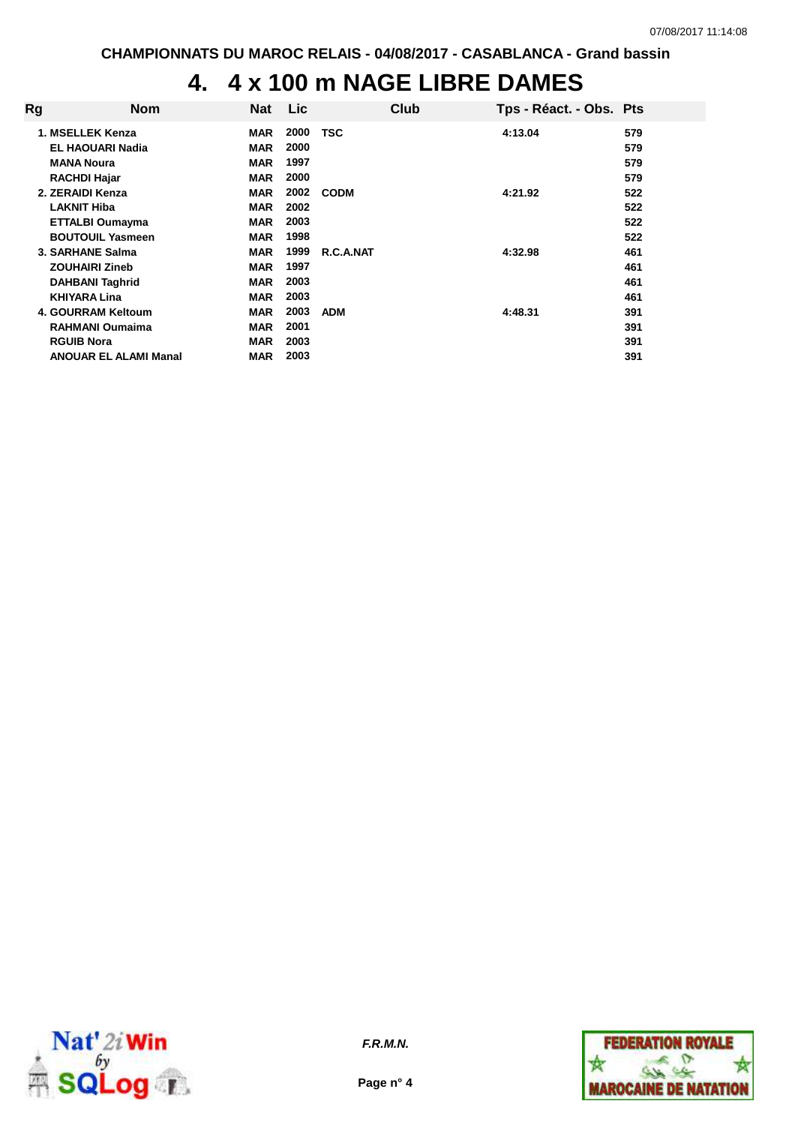# **4. 4 x 100 m NAGE LIBRE DAMES**

| Rg | <b>Nom</b>                   | <b>Nat</b> | Lic  | Club        | Tps - Réact. - Obs. Pts |     |
|----|------------------------------|------------|------|-------------|-------------------------|-----|
|    | 1. MSELLEK Kenza             | <b>MAR</b> | 2000 | TSC         | 4:13.04                 | 579 |
|    | <b>EL HAOUARI Nadia</b>      | <b>MAR</b> | 2000 |             |                         | 579 |
|    | <b>MANA Noura</b>            | <b>MAR</b> | 1997 |             |                         | 579 |
|    | <b>RACHDI Hajar</b>          | <b>MAR</b> | 2000 |             |                         | 579 |
|    | 2. ZERAIDI Kenza             | <b>MAR</b> | 2002 | <b>CODM</b> | 4:21.92                 | 522 |
|    | <b>LAKNIT Hiba</b>           | <b>MAR</b> | 2002 |             |                         | 522 |
|    | <b>ETTALBI Oumayma</b>       | <b>MAR</b> | 2003 |             |                         | 522 |
|    | <b>BOUTOUIL Yasmeen</b>      | <b>MAR</b> | 1998 |             |                         | 522 |
|    | 3. SARHANE Salma             | <b>MAR</b> | 1999 | R.C.A.NAT   | 4:32.98                 | 461 |
|    | <b>ZOUHAIRI Zineb</b>        | <b>MAR</b> | 1997 |             |                         | 461 |
|    | <b>DAHBANI Taghrid</b>       | <b>MAR</b> | 2003 |             |                         | 461 |
|    | <b>KHIYARA Lina</b>          | <b>MAR</b> | 2003 |             |                         | 461 |
|    | 4. GOURRAM Keltoum           | <b>MAR</b> | 2003 | <b>ADM</b>  | 4:48.31                 | 391 |
|    | <b>RAHMANI Oumaima</b>       | <b>MAR</b> | 2001 |             |                         | 391 |
|    | <b>RGUIB Nora</b>            | <b>MAR</b> | 2003 |             |                         | 391 |
|    | <b>ANOUAR EL ALAMI Manal</b> | <b>MAR</b> | 2003 |             |                         | 391 |





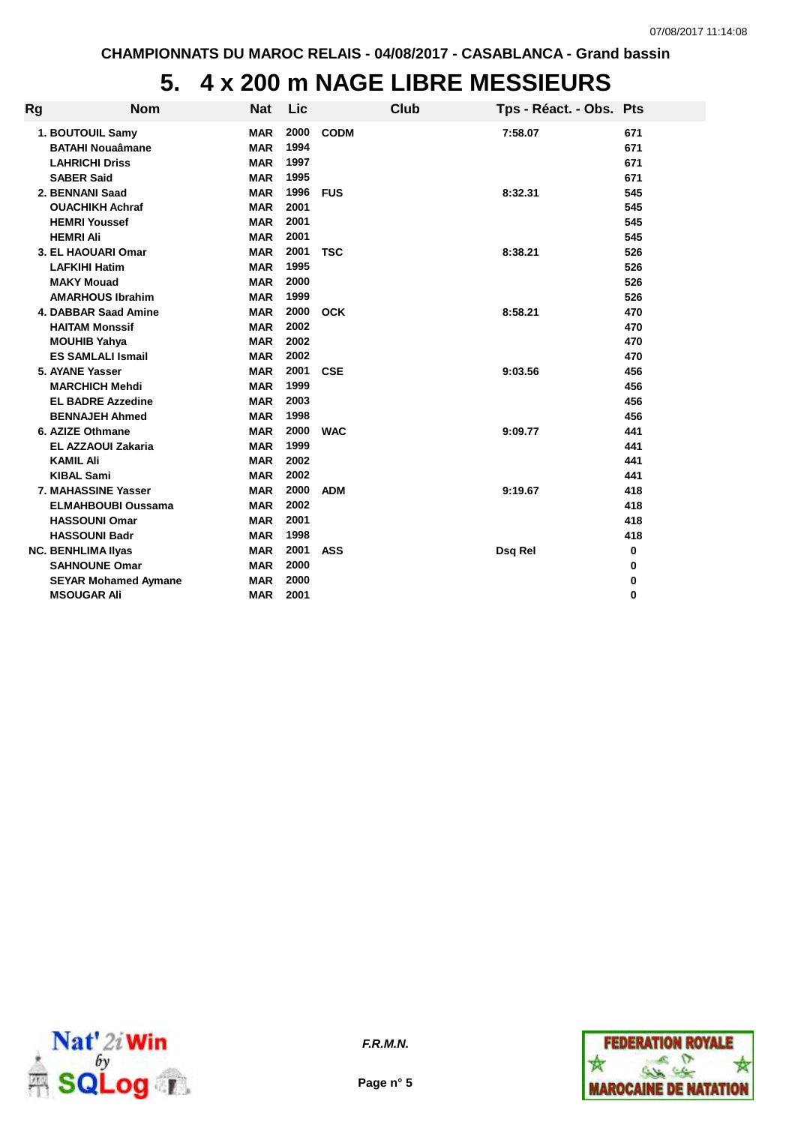#### **5. 4 x 200 m NAGE LIBRE MESSIEURS**

| Rg | <b>Nom</b>                  | <b>Nat</b> | Lic  |             | Club | Tps - Réact. - Obs. Pts |     |
|----|-----------------------------|------------|------|-------------|------|-------------------------|-----|
|    | 1. BOUTOUIL Samy            | <b>MAR</b> | 2000 | <b>CODM</b> |      | 7:58.07                 | 671 |
|    | <b>BATAHI Nouaâmane</b>     | <b>MAR</b> | 1994 |             |      |                         | 671 |
|    | <b>LAHRICHI Driss</b>       | <b>MAR</b> | 1997 |             |      |                         | 671 |
|    | <b>SABER Said</b>           | <b>MAR</b> | 1995 |             |      |                         | 671 |
|    | 2. BENNANI Saad             | <b>MAR</b> | 1996 | <b>FUS</b>  |      | 8:32.31                 | 545 |
|    | <b>OUACHIKH Achraf</b>      | <b>MAR</b> | 2001 |             |      |                         | 545 |
|    | <b>HEMRI Youssef</b>        | <b>MAR</b> | 2001 |             |      |                         | 545 |
|    | <b>HEMRI Ali</b>            | <b>MAR</b> | 2001 |             |      |                         | 545 |
|    | 3. EL HAOUARI Omar          | <b>MAR</b> | 2001 | <b>TSC</b>  |      | 8:38.21                 | 526 |
|    | <b>LAFKIHI Hatim</b>        | <b>MAR</b> | 1995 |             |      |                         | 526 |
|    | <b>MAKY Mouad</b>           | <b>MAR</b> | 2000 |             |      |                         | 526 |
|    | <b>AMARHOUS Ibrahim</b>     | <b>MAR</b> | 1999 |             |      |                         | 526 |
|    | 4. DABBAR Saad Amine        | <b>MAR</b> | 2000 | <b>OCK</b>  |      | 8:58.21                 | 470 |
|    | <b>HAITAM Monssif</b>       | <b>MAR</b> | 2002 |             |      |                         | 470 |
|    | <b>MOUHIB Yahya</b>         | <b>MAR</b> | 2002 |             |      |                         | 470 |
|    | <b>ES SAMLALI Ismail</b>    | <b>MAR</b> | 2002 |             |      |                         | 470 |
|    | 5. AYANE Yasser             | <b>MAR</b> | 2001 | <b>CSE</b>  |      | 9:03.56                 | 456 |
|    | <b>MARCHICH Mehdi</b>       | <b>MAR</b> | 1999 |             |      |                         | 456 |
|    | <b>EL BADRE Azzedine</b>    | <b>MAR</b> | 2003 |             |      |                         | 456 |
|    | <b>BENNAJEH Ahmed</b>       | <b>MAR</b> | 1998 |             |      |                         | 456 |
|    | 6. AZIZE Othmane            | <b>MAR</b> | 2000 | <b>WAC</b>  |      | 9:09.77                 | 441 |
|    | <b>EL AZZAOUI Zakaria</b>   | <b>MAR</b> | 1999 |             |      |                         | 441 |
|    | <b>KAMIL Ali</b>            | <b>MAR</b> | 2002 |             |      |                         | 441 |
|    | <b>KIBAL Sami</b>           | <b>MAR</b> | 2002 |             |      |                         | 441 |
|    | 7. MAHASSINE Yasser         | <b>MAR</b> | 2000 | <b>ADM</b>  |      | 9:19.67                 | 418 |
|    | <b>ELMAHBOUBI Oussama</b>   | <b>MAR</b> | 2002 |             |      |                         | 418 |
|    | <b>HASSOUNI Omar</b>        | <b>MAR</b> | 2001 |             |      |                         | 418 |
|    | <b>HASSOUNI Badr</b>        | <b>MAR</b> | 1998 |             |      |                         | 418 |
|    | <b>NC. BENHLIMA Ilyas</b>   | <b>MAR</b> | 2001 | <b>ASS</b>  |      | Dsq Rel                 | 0   |
|    | <b>SAHNOUNE Omar</b>        | <b>MAR</b> | 2000 |             |      |                         | 0   |
|    | <b>SEYAR Mohamed Aymane</b> | <b>MAR</b> | 2000 |             |      |                         | 0   |
|    | <b>MSOUGAR Ali</b>          | <b>MAR</b> | 2001 |             |      |                         | 0   |